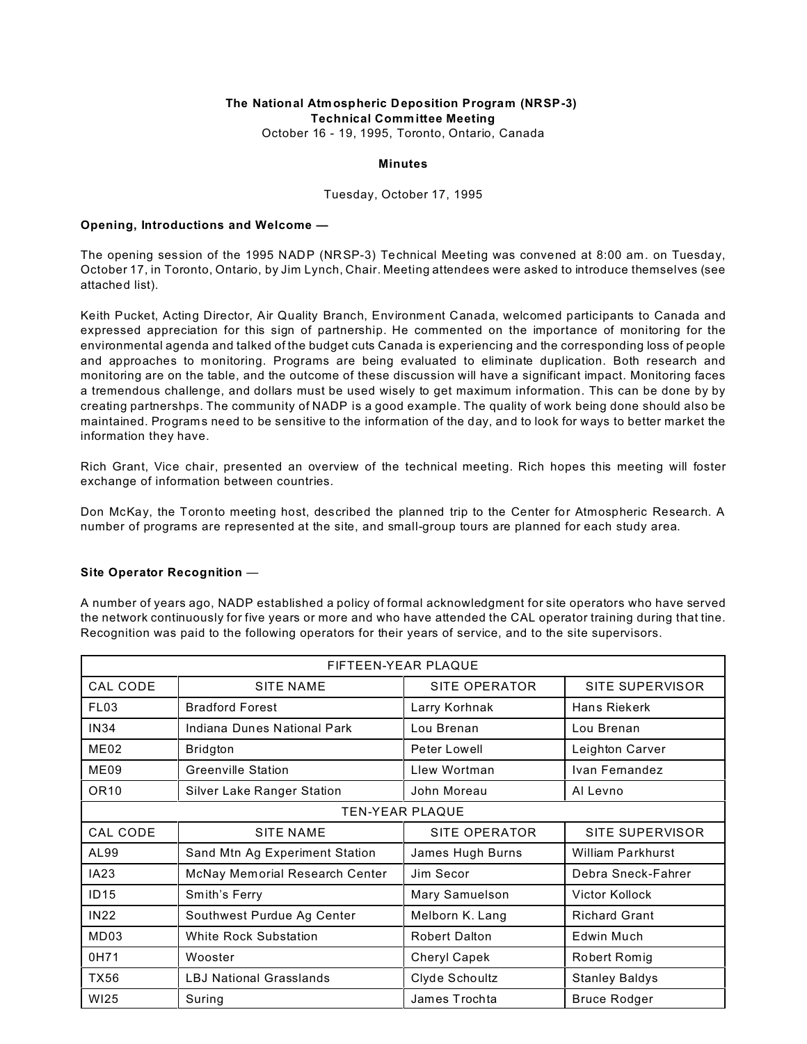#### **The National Atmospheric Deposition Program (NRSP-3) Technical Committee Meeting** October 16 - 19, 1995, Toronto, Ontario, Canada

**Minutes**

# Tuesday, October 17, 1995

### **Opening, Introductions and Welcome —**

The opening session of the 1995 NADP (NRSP-3) Technical Meeting was convened at 8:00 am. on Tuesday, October 17, in Toronto, Ontario, by Jim Lynch, Chair. Meeting attendees were asked to introduce themselves (see attached list).

Keith Pucket, Acting Director, Air Quality Branch, Environment Canada, welcomed participants to Canada and expressed appreciation for this sign of partnership. He commented on the importance of monitoring for the environmental agenda and talked of the budget cuts Canada is experiencing and the corresponding loss of people and approaches to monitoring. Programs are being evaluated to eliminate duplication. Both research and monitoring are on the table, and the outcome of these discussion will have a significant impact. Monitoring faces a tremendous challenge, and dollars must be used wisely to get maximum information. This can be done by by creating partnershps. The community of NADP is a good example. The quality of work being done should also be maintained. Programs need to be sensitive to the information of the day, and to look for ways to better market the information they have.

Rich Grant, Vice chair, presented an overview of the technical meeting. Rich hopes this meeting will foster exchange of information between countries.

Don McKay, the Toronto meeting host, described the planned trip to the Center for Atmospheric Research. A number of programs are represented at the site, and small-group tours are planned for each study area.

# **Site Operator Recognition** —

A number of years ago, NADP established a policy of formal acknowledgment for site operators who have served the network continuously for five years or more and who have attended the CAL operator training during that tine. Recognition was paid to the following operators for their years of service, and to the site supervisors.

| FIFTEEN-YEAR PLAQUE    |                                |                      |                       |  |
|------------------------|--------------------------------|----------------------|-----------------------|--|
| CAL CODE               | <b>SITE NAME</b>               | SITE OPERATOR        | SITE SUPERVISOR       |  |
| FL <sub>03</sub>       | <b>Bradford Forest</b>         | Larry Korhnak        | Hans Riekerk          |  |
| <b>IN34</b>            | Indiana Dunes National Park    | Lou Brenan           | Lou Brenan            |  |
| ME <sub>02</sub>       | Bridgton                       | Peter Lowell         | Leighton Carver       |  |
| ME09                   | <b>Greenville Station</b>      | Llew Wortman         | Ivan Fernandez        |  |
| OR <sub>10</sub>       | Silver Lake Ranger Station     | John Moreau          | Al Levno              |  |
| <b>TEN-YEAR PLAQUE</b> |                                |                      |                       |  |
| CAL CODE               | <b>SITE NAME</b>               | SITE OPERATOR        | SITE SUPERVISOR       |  |
| AL99                   | Sand Mtn Ag Experiment Station | James Hugh Burns     | William Parkhurst     |  |
| IA23                   | McNay Memorial Research Center | Jim Secor            | Debra Sneck-Fahrer    |  |
| <b>ID15</b>            | Smith's Ferry                  | Mary Samuelson       | <b>Victor Kollock</b> |  |
| <b>IN22</b>            | Southwest Purdue Ag Center     | Melborn K. Lang      | <b>Richard Grant</b>  |  |
| MD03                   | <b>White Rock Substation</b>   | <b>Robert Dalton</b> | Edwin Much            |  |
| 0H71                   | Wooster                        | <b>Cheryl Capek</b>  | Robert Romig          |  |
| TX56                   | <b>LBJ National Grasslands</b> | Clyde Schoultz       | <b>Stanley Baldys</b> |  |
| WI25                   | Suring                         | James Trochta        | <b>Bruce Rodger</b>   |  |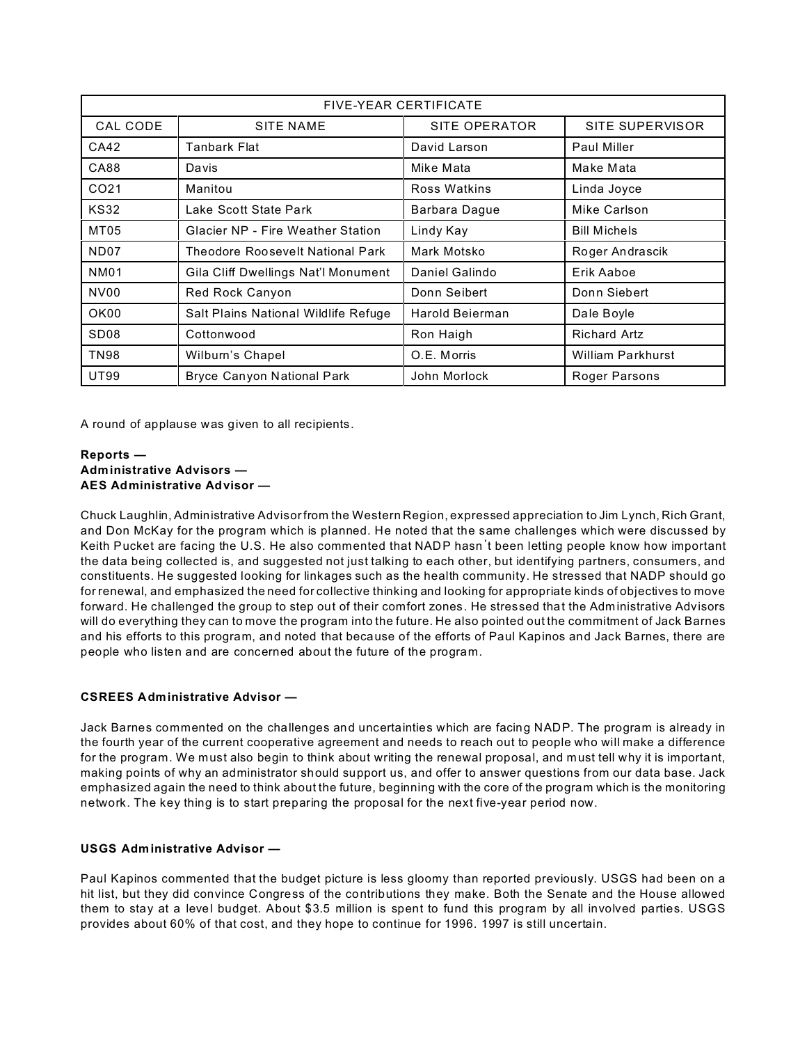| <b>FIVE-YEAR CERTIFICATE</b> |                                          |                 |                     |  |
|------------------------------|------------------------------------------|-----------------|---------------------|--|
| CAL CODE                     | <b>SITE NAME</b>                         | SITE OPERATOR   | SITE SUPERVISOR     |  |
| CA42                         | Tanbark Flat                             | David Larson    | Paul Miller         |  |
| CA88                         | Davis                                    | Mike Mata       | Make Mata           |  |
| CO <sub>21</sub>             | Manitou                                  | Ross Watkins    | Linda Joyce         |  |
| <b>KS32</b>                  | Lake Scott State Park                    | Barbara Dague   | Mike Carlson        |  |
| MT05                         | <b>Glacier NP - Fire Weather Station</b> | Lindy Kay       | <b>Bill Michels</b> |  |
| ND <sub>07</sub>             | Theodore Roosevelt National Park         | Mark Motsko     | Roger Andrascik     |  |
| <b>NM01</b>                  | Gila Cliff Dwellings Nat'l Monument      | Daniel Galindo  | Erik Aaboe          |  |
| NV <sub>00</sub>             | Red Rock Canyon                          | Donn Seibert    | Donn Siebert        |  |
| OK <sub>00</sub>             | Salt Plains National Wildlife Refuge     | Harold Beierman | Dale Boyle          |  |
| SD <sub>08</sub>             | Cottonwood                               | Ron Haigh       | <b>Richard Artz</b> |  |
| <b>TN98</b>                  | Wilburn's Chapel                         | O.E. Morris     | William Parkhurst   |  |
| UT99                         | Bryce Canyon National Park               | John Morlock    | Roger Parsons       |  |

A round of applause was given to all recipients.

## **Reports — Administrative Advisors — AES Administrative Advisor —**

Chuck Laughlin, Administrative Advisor from the Western Region, expressed appreciation to Jim Lynch, Rich Grant, and Don McKay for the program which is planned. He noted that the same challenges which were discussed by Keith Pucket are facing the U.S. He also commented that NADP hasn't been letting people know how important the data being collected is, and suggested not just talking to each other, but identifying partners, consumers, and constituents. He suggested looking for linkages such as the health community. He stressed that NADP should go for renewal, and emphasized the need for collective thinking and looking for appropriate kinds of objectives to move forward. He challenged the group to step out of their comfort zones. He stressed that the Administrative Advisors will do everything they can to move the program into the future. He also pointed out the commitment of Jack Barnes and his efforts to this program, and noted that because of the efforts of Paul Kapinos and Jack Barnes, there are people who listen and are concerned about the future of the program.

# **CSREES Administrative Advisor —**

Jack Barnes commented on the challenges and uncertainties which are facing NADP. The program is already in the fourth year of the current cooperative agreement and needs to reach out to people who will make a difference for the program. We must also begin to think about writing the renewal proposal, and must tell why it is important, making points of why an administrator should support us, and offer to answer questions from our data base. Jack emphasized again the need to think about the future, beginning with the core of the program which is the monitoring network. The key thing is to start preparing the proposal for the next five-year period now.

# **USGS Administrative Advisor —**

Paul Kapinos commented that the budget picture is less gloomy than reported previously. USGS had been on a hit list, but they did convince Congress of the contributions they make. Both the Senate and the House allowed them to stay at a level budget. About \$3.5 million is spent to fund this program by all involved parties. USGS provides about 60% of that cost, and they hope to continue for 1996. 1997 is still uncertain.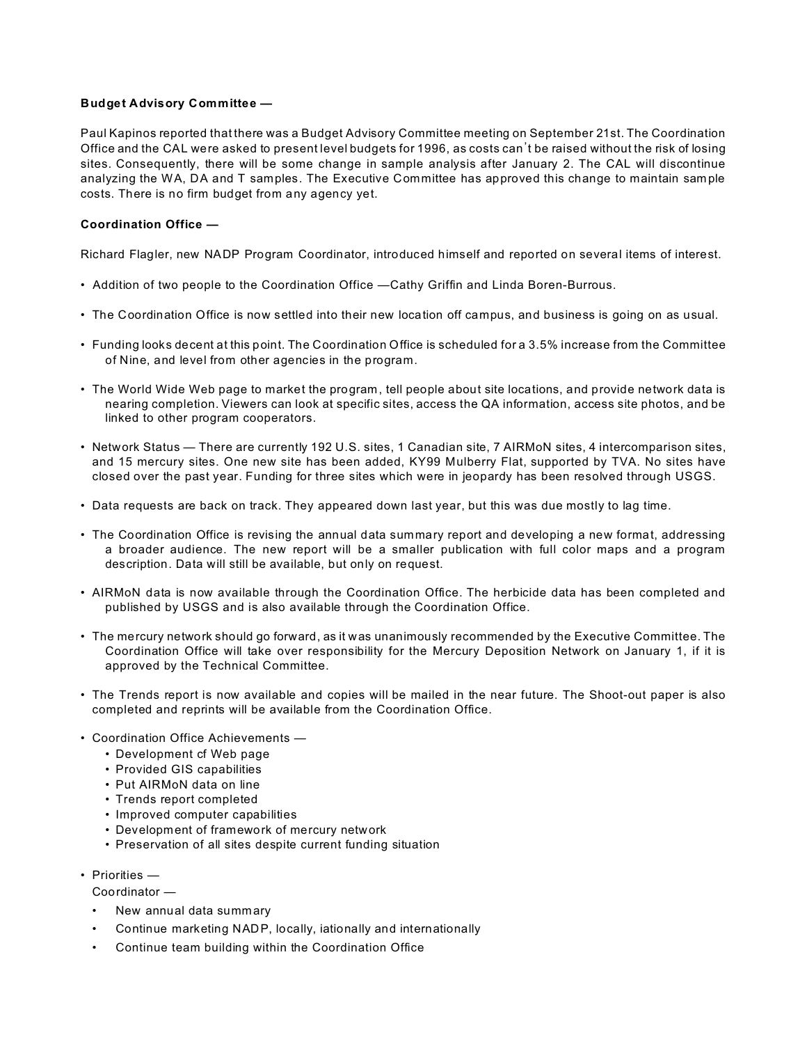### **Budget Advisory Committee —**

Paul Kapinos reported that there was a Budget Advisory Committee meeting on September 21st. The Coordination Office and the CAL were asked to present level budgets for 1996, as costs can't be raised without the risk of losing sites. Consequently, there will be some change in sample analysis after January 2. The CAL will discontinue analyzing the WA, DA and T samples. The Executive Committee has approved this change to maintain sam ple costs. There is no firm budget from any agency yet.

## **Coordination Office —**

Richard Flagler, new NADP Program Coordinator, introduced himself and reported on several items of interest.

- Addition of two people to the Coordination Office —Cathy Griffin and Linda Boren-Burrous.
- The Coordination Office is now settled into their new location off campus, and business is going on as usual.
- Funding looks decent at this point. The Coordination Office is scheduled for a 3.5% increase from the Committee of Nine, and level from other agencies in the program.
- The World Wide Web page to market the program, tell people about site locations, and provide network data is nearing completion. Viewers can look at specific sites, access the QA information, access site photos, and be linked to other program cooperators.
- Network Status There are currently 192 U.S. sites, 1 Canadian site, 7 AIRMoN sites, 4 intercomparison sites, and 15 mercury sites. One new site has been added, KY99 Mulberry Flat, supported by TVA. No sites have closed over the past year. Funding for three sites which were in jeopardy has been resolved through USGS.
- Data requests are back on track. They appeared down last year, but this was due mostly to lag time.
- The Coordination Office is revising the annual data summary report and developing a new format, addressing a broader audience. The new report will be a smaller publication with full color maps and a program description. Data will still be available, but only on request.
- AIRMoN data is now available through the Coordination Office. The herbicide data has been completed and published by USGS and is also available through the Coordination Office.
- The mercury network should go forward, as it was unanimously recommended by the Executive Committee. The Coordination Office will take over responsibility for the Mercury Deposition Network on January 1, if it is approved by the Technical Committee.
- The Trends report is now available and copies will be mailed in the near future. The Shoot-out paper is also completed and reprints will be available from the Coordination Office.
- Coordination Office Achievements
	- Development cf Web page
	- Provided GIS capabilities
	- Put AIRMoN data on line
	- Trends report completed
	- Improved computer capabilities
	- Development of framework of mercury network
	- Preservation of all sites despite current funding situation
- Priorities
	- Coordinator —
	- New annual data summary
	- Continue marketing NADP, locally, iationally and internationally
	- Continue team building within the Coordination Office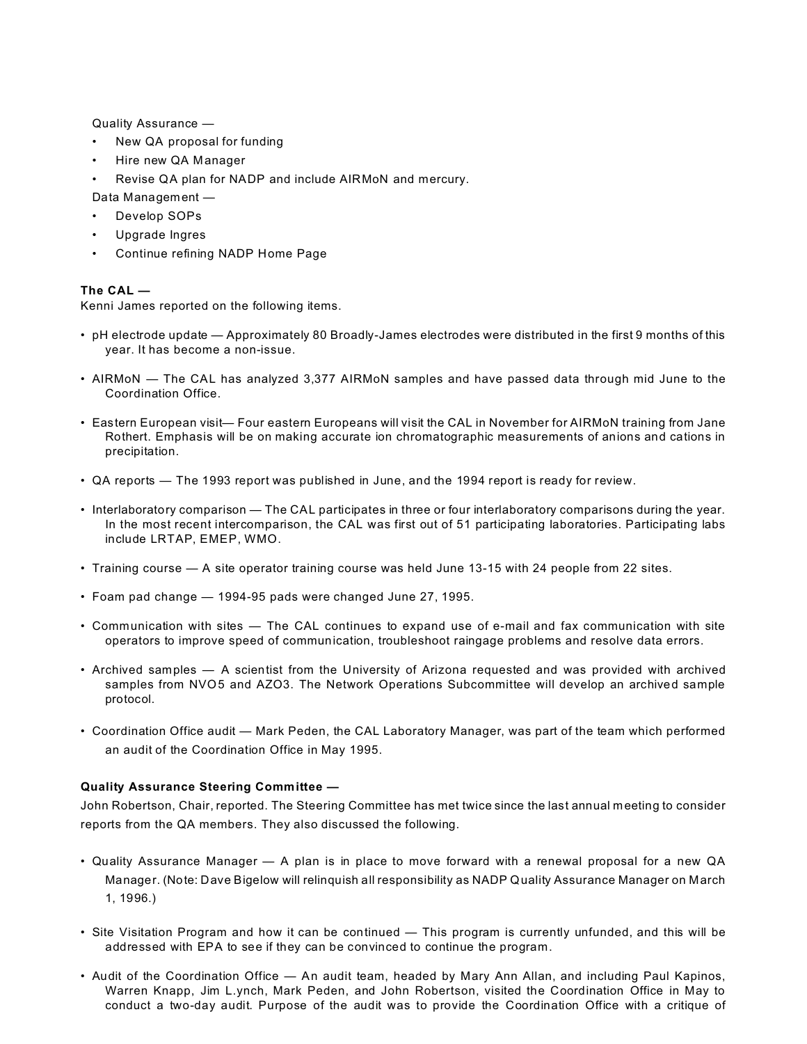Quality Assurance —

- New QA proposal for funding
- Hire new QA Manager
- Revise QA plan for NADP and include AIRMoN and mercury.

Data Management —

- Develop SOPs
- Upgrade Ingres
- Continue refining NADP Home Page

## **The CAL —**

Kenni James reported on the following items.

- pH electrode update Approximately 80 Broadly-James electrodes were distributed in the first 9 months of this year. It has become a non-issue.
- AIRMoN The CAL has analyzed 3,377 AIRMoN samples and have passed data through mid June to the Coordination Office.
- Eastern European visit— Four eastern Europeans will visit the CAL in November for AIRMoN training from Jane Rothert. Emphasis will be on making accurate ion chromatographic measurements of anions and cations in precipitation.
- QA reports The 1993 report was published in June, and the 1994 report is ready for review.
- Interlaboratory comparison The CAL participates in three or four interlaboratory comparisons during the year. In the most recent intercomparison, the CAL was first out of 51 participating laboratories. Participating labs include LRTAP, EMEP, WMO.
- Training course A site operator training course was held June 13-15 with 24 people from 22 sites.
- Foam pad change 1994-95 pads were changed June 27, 1995.
- Communication with sites The CAL continues to expand use of e-mail and fax communication with site operators to improve speed of communication, troubleshoot raingage problems and resolve data errors.
- Archived samples A scientist from the University of Arizona requested and was provided with archived samples from NVO5 and AZO3. The Network Operations Subcommittee will develop an archived sample protocol.
- Coordination Office audit Mark Peden, the CAL Laboratory Manager, was part of the team which performed an audit of the Coordination Office in May 1995.

### **Quality Assurance Steering Committee —**

John Robertson, Chair, reported. The Steering Committee has met twice since the last annual meeting to consider reports from the QA members. They also discussed the following.

- Quality Assurance Manager A plan is in place to move forward with a renewal proposal for a new QA Manager. (Note: Dave Bigelow will relinquish all responsibility as NADP Quality Assurance Manager on March 1, 1996.)
- Site Visitation Program and how it can be continued This program is currently unfunded, and this will be addressed with EPA to see if they can be convinced to continue the program.
- Audit of the Coordination Office An audit team, headed by Mary Ann Allan, and including Paul Kapinos, Warren Knapp, Jim L.ynch, Mark Peden, and John Robertson, visited the Coordination Office in May to conduct a two-day audit. Purpose of the audit was to provide the Coordination Office with a critique of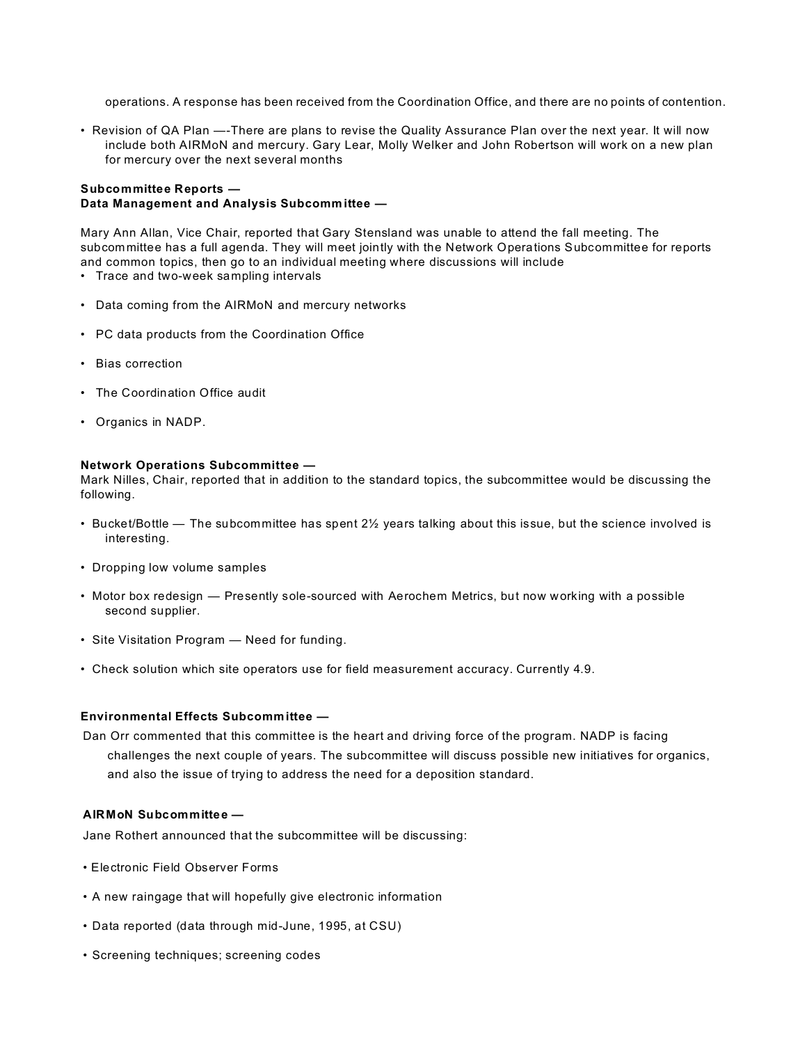operations. A response has been received from the Coordination Office, and there are no points of contention.

• Revision of QA Plan —-There are plans to revise the Quality Assurance Plan over the next year. It will now include both AIRMoN and mercury. Gary Lear, Molly Welker and John Robertson will work on a new plan for mercury over the next several months

# **Subcommittee Reports — Data Management and Analysis Subcommittee —**

Mary Ann Allan, Vice Chair, reported that Gary Stensland was unable to attend the fall meeting. The subcommittee has a full agenda. They will meet jointly with the Network Operations Subcommittee for reports and common topics, then go to an individual meeting where discussions will include

- Trace and two-week sampling intervals
- Data coming from the AIRMoN and mercury networks
- PC data products from the Coordination Office
- Bias correction
- The Coordination Office audit
- Organics in NADP.

### **Network Operations Subcommittee —**

Mark Nilles, Chair, reported that in addition to the standard topics, the subcommittee would be discussing the following.

- Bucket/Bottle The subcommittee has spent 2½ years talking about this issue, but the science involved is interesting.
- Dropping low volume samples
- Motor box redesign Presently sole-sourced with Aerochem Metrics, but now working with a possible second supplier.
- Site Visitation Program Need for funding.
- Check solution which site operators use for field measurement accuracy. Currently 4.9.

### **Environmental Effects Subcommittee —**

Dan Orr commented that this committee is the heart and driving force of the program. NADP is facing challenges the next couple of years. The subcommittee will discuss possible new initiatives for organics, and also the issue of trying to address the need for a deposition standard.

### **AIRMoN Subcommittee —**

Jane Rothert announced that the subcommittee will be discussing:

- Electronic Field Observer Forms
- A new raingage that will hopefully give electronic information
- Data reported (data through mid-June, 1995, at CSU)
- Screening techniques; screening codes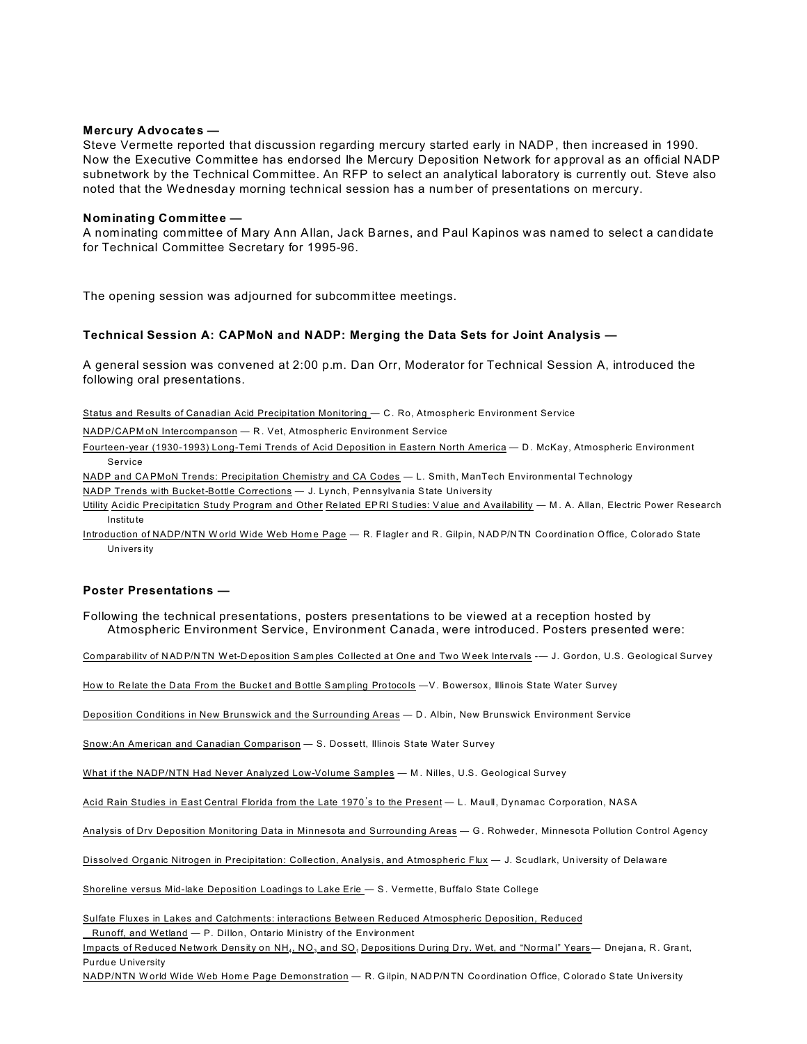#### Mercury Advocates -

Steve Vermette reported that discussion regarding mercury started early in NADP, then increased in 1990. Now the Executive Committee has endorsed lhe Mercury Deposition Network for approval as an official NADP subnetwork by the Technical Committee. An RFP to select an analytical laboratory is currently out. Steve also noted that the Wednesday morning technical session has a number of presentations on mercury.

#### Nominating Committee -

A nominating committee of Mary Ann Allan, Jack Barnes, and Paul Kapinos was named to select a candidate for Technical Committee Secretary for 1995-96.

The opening session was adjourned for subcommittee meetings.

#### Technical Session A: CAPMoN and NADP: Merging the Data Sets for Joint Analysis -

A general session was convened at 2:00 p.m. Dan Orr, Moderator for Technical Session A, introduced the following oral presentations.

Status and Results of Canadian Acid Precipitation Monitoring - C. Ro, Atmospheric Environment Service

NADP/CAPMoN Intercompanson - R. Vet, Atmospheric Environment Service

Fourteen-year (1930-1993) Long-Temi Trends of Acid Deposition in Eastern North America - D. McKay, Atmospheric Environment Service

NADP and CAPMoN Trends: Precipitation Chemistry and CA Codes - L. Smith, ManTech Environmental Technology

NADP Trends with Bucket-Bottle Corrections - J. Lynch, Pennsylvania State University

Utility Acidic Precipitation Study Program and Other Related EPRI Studies: Value and Availability - M. A. Allan, Electric Power Research Institute

Introduction of NADP/NTN World Wide Web Home Page - R. Flagler and R. Gilpin, NADP/NTN Coordination Office, Colorado State University

### Poster Presentations -

Following the technical presentations, posters presentations to be viewed at a reception hosted by Atmospheric Environment Service, Environment Canada, were introduced. Posters presented were:

Comparability of NADP/NTN Wet-Deposition Samples Collected at One and Two Week Intervals -- J. Gordon, U.S. Geological Survey

How to Relate the Data From the Bucket and Bottle Sampling Protocols -V. Bowersox, Illinois State Water Survey

Deposition Conditions in New Brunswick and the Surrounding Areas - D. Albin, New Brunswick Environment Service

Snow:An American and Canadian Comparison - S. Dossett, Illinois State Water Survey

What if the NADP/NTN Had Never Analyzed Low-Volume Samples - M. Nilles, U.S. Geological Survey

Acid Rain Studies in East Central Florida from the Late 1970's to the Present - L. Maull, Dynamac Corporation, NASA

Analysis of Drv Deposition Monitoring Data in Minnesota and Surrounding Areas - G. Rohweder, Minnesota Pollution Control Agency

Dissolved Organic Nitrogen in Precipitation: Collection, Analysis, and Atmospheric Flux - J. Scudlark, University of Delaware

Shoreline versus Mid-lake Deposition Loadings to Lake Erie - S. Vermette, Buffalo State College

Sulfate Fluxes in Lakes and Catchments: interactions Between Reduced Atmospheric Deposition, Reduced

Runoff, and Wetland - P. Dillon, Ontario Ministry of the Environment

Impacts of Reduced Network Density on NH<sub>4</sub>, NO<sub>3</sub> and SO<sub>1</sub> Depositions During Dry. Wet, and "Normal" Years- Dnejana, R. Grant, Purdue University

NADP/NTN World Wide Web Home Page Demonstration - R. Gilpin, NADP/NTN Coordination Office, Colorado State University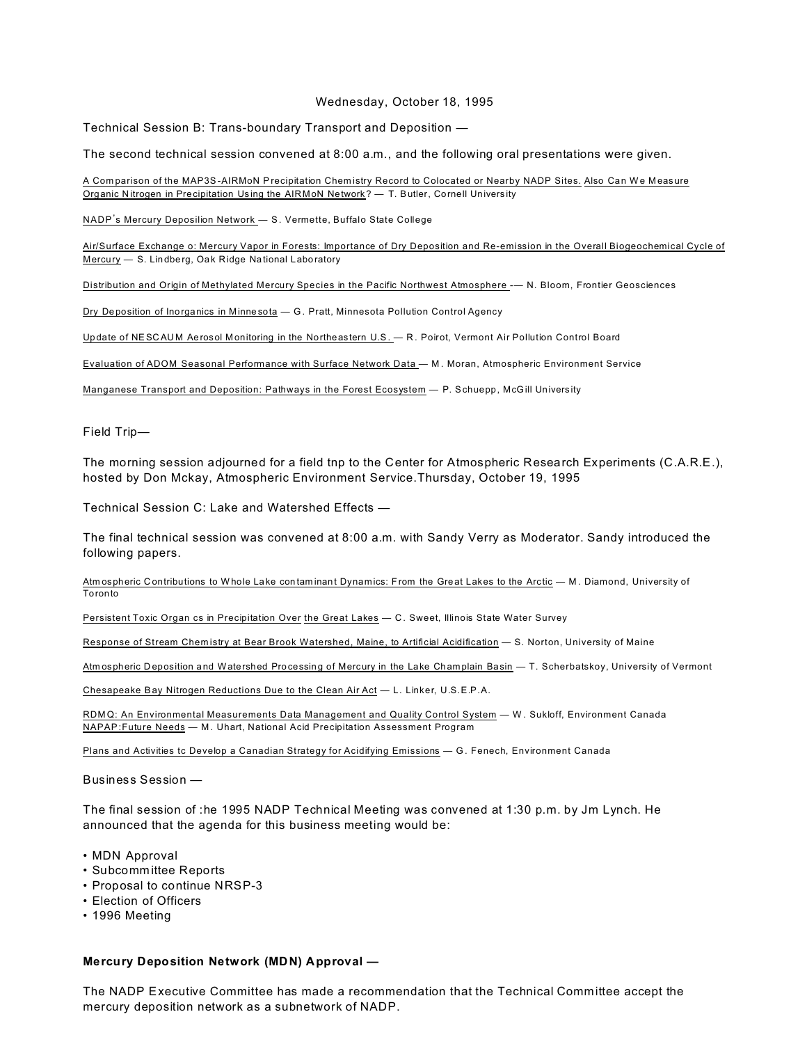#### Wednesday, October 18, 1995

Technical Session B: Trans-boundary Transport and Deposition -

The second technical session convened at 8:00 a.m., and the following oral presentations were given.

A Comparison of the MAP3S-AIRMoN Precipitation Chemistry Record to Colocated or Nearby NADP Sites. Also Can We Measure Organic Nitrogen in Precipitation Using the AIRMoN Network? - T. Butler, Cornell University

NADP's Mercury Deposilion Network - S. Vermette, Buffalo State College

Air/Surface Exchange o: Mercury Vapor in Forests: Importance of Dry Deposition and Re-emission in the Overall Biogeochemical Cycle of Mercury - S. Lindberg, Oak Ridge National Laboratory

Distribution and Origin of Methylated Mercury Species in the Pacific Northwest Atmosphere -- N. Bloom, Frontier Geosciences

Dry Deposition of Inorganics in Minnesota - G. Pratt, Minnesota Pollution Control Agency

Update of NESCAUM Aerosol Monitoring in the Northeastern U.S. - R. Poirot, Vermont Air Pollution Control Board

Evaluation of ADOM Seasonal Performance with Surface Network Data - M. Moran, Atmospheric Environment Service

Manganese Transport and Deposition: Pathways in the Forest Ecosystem - P. Schuepp, McGill University

Field Trip-

The morning session adjourned for a field tnp to the Center for Atmospheric Research Experiments (C.A.R.E.), hosted by Don Mckay, Atmospheric Environment Service. Thursday, October 19, 1995

Technical Session C: Lake and Watershed Effects -

The final technical session was convened at 8:00 a.m. with Sandy Verry as Moderator. Sandy introduced the following papers.

Atmospheric Contributions to Whole Lake contaminant Dynamics: From the Great Lakes to the Arctic - M. Diamond, University of Toronto

Persistent Toxic Organ cs in Precipitation Over the Great Lakes - C. Sweet, Illinois State Water Survey

Response of Stream Chemistry at Bear Brook Watershed, Maine, to Artificial Acidification - S. Norton, University of Maine

Atmospheric Deposition and Watershed Processing of Mercury in the Lake Champlain Basin — T. Scherbatskoy, University of Vermont

Chesapeake Bay Nitrogen Reductions Due to the Clean Air Act - L. Linker, U.S.E.P.A.

RDMQ: An Environmental Measurements Data Management and Quality Control System - W. Sukloff, Environment Canada NAPAP: Future Needs - M. Uhart, National Acid Precipitation Assessment Program

Plans and Activities tc Develop a Canadian Strategy for Acidifying Emissions - G. Fenech, Environment Canada

Business Session -

The final session of :he 1995 NADP Technical Meeting was convened at 1:30 p.m. by Jm Lynch. He announced that the agenda for this business meeting would be:

- MDN Approval
- Subcommittee Reports
- Proposal to continue NRSP-3
- Election of Officers
- 1996 Meeting

# Mercury Deposition Network (MDN) Approval -

The NADP Executive Committee has made a recommendation that the Technical Committee accept the mercury deposition network as a subnetwork of NADP.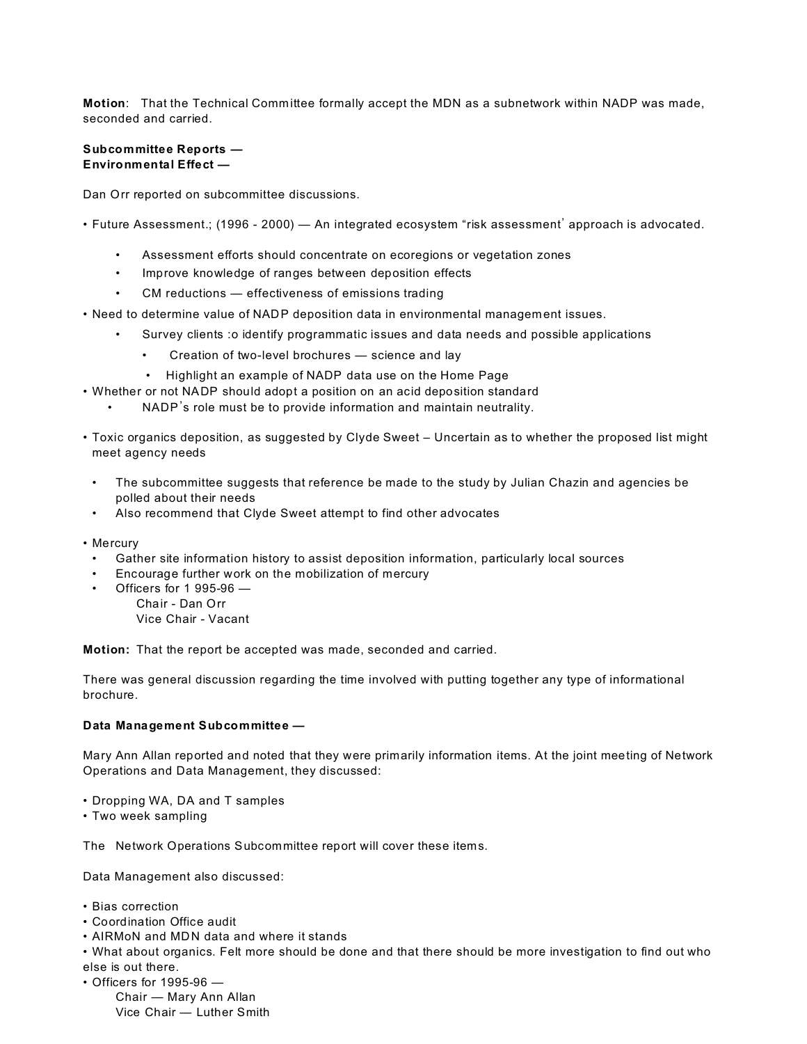**Motion**: That the Technical Committee formally accept the MDN as a subnetwork within NADP was made, seconded and carried.

### **Subcommittee Reports — Environmental Effect —**

Dan Orr reported on subcommittee discussions.

• Future Assessment.; (1996 - 2000) — An integrated ecosystem "risk assessment' approach is advocated.

- Assessment efforts should concentrate on ecoregions or vegetation zones
- Improve knowledge of ranges between deposition effects
- CM reductions effectiveness of emissions trading
- Need to determine value of NADP deposition data in environmental management issues.
	- Survey clients :o identify programmatic issues and data needs and possible applications
		- Creation of two-level brochures science and lay
		- Highlight an example of NADP data use on the Home Page
- Whether or not NADP should adopt a position on an acid deposition standard
	- NADP's role must be to provide information and maintain neutrality.
- Toxic organics deposition, as suggested by Clyde Sweet Uncertain as to whether the proposed list might meet agency needs
- The subcommittee suggests that reference be made to the study by Julian Chazin and agencies be polled about their needs
- Also recommend that Clyde Sweet attempt to find other advocates
- Mercury
	- Gather site information history to assist deposition information, particularly local sources
	- Encourage further work on the mobilization of mercury
	- Officers for 1 995-96 Chair - Dan Orr Vice Chair - Vacant

**Motion:** That the report be accepted was made, seconded and carried.

There was general discussion regarding the time involved with putting together any type of informational brochure.

### **Data Management Subcommittee —**

Mary Ann Allan reported and noted that they were primarily information items. At the joint meeting of Network Operations and Data Management, they discussed:

- Dropping WA, DA and T samples
- Two week sampling

The Network Operations Subcommittee report will cover these items.

Data Management also discussed:

- Bias correction
- Coordination Office audit
- AIRMoN and MDN data and where it stands

• What about organics. Felt more should be done and that there should be more investigation to find out who else is out there.

• Officers for 1995-96 —

Chair — Mary Ann Allan Vice Chair — Luther Smith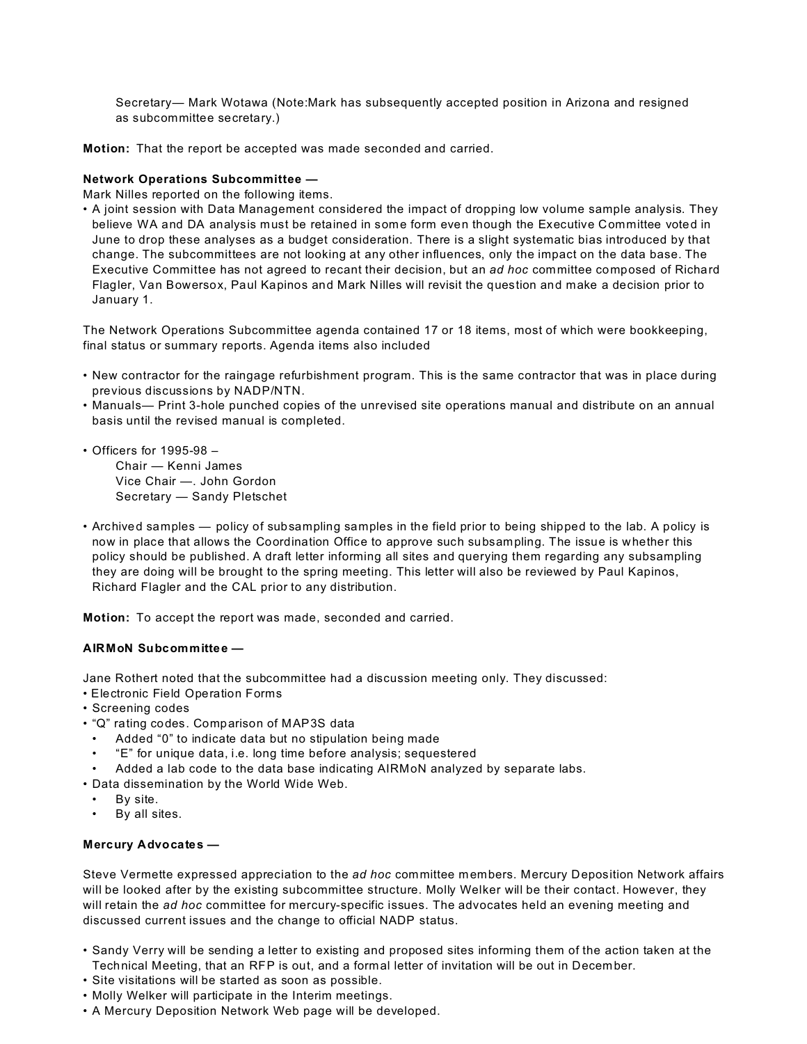Secretary— Mark Wotawa (Note:Mark has subsequently accepted position in Arizona and resigned as subcommittee secretary.)

**Motion:** That the report be accepted was made seconded and carried.

# **Network Operations Subcommittee —**

Mark Nilles reported on the following items.

• A joint session with Data Management considered the impact of dropping low volume sample analysis. They believe WA and DA analysis must be retained in some form even though the Executive Committee voted in June to drop these analyses as a budget consideration. There is a slight systematic bias introduced by that change. The subcommittees are not looking at any other influences, only the impact on the data base. The Executive Committee has not agreed to recant their decision, but an *ad hoc* committee composed of Richard Flagler, Van Bowersox, Paul Kapinos and Mark Nilles will revisit the question and make a decision prior to January 1.

The Network Operations Subcommittee agenda contained 17 or 18 items, most of which were bookkeeping, final status or summary reports. Agenda items also included

- New contractor for the raingage refurbishment program. This is the same contractor that was in place during previous discussions by NADP/NTN.
- Manuals— Print 3-hole punched copies of the unrevised site operations manual and distribute on an annual basis until the revised manual is completed.
- Officers for 1995-98 Chair — Kenni James Vice Chair —. John Gordon Secretary — Sandy Pletschet
- Archived samples policy of subsampling samples in the field prior to being shipped to the lab. A policy is now in place that allows the Coordination Office to approve such subsampling. The issue is whether this policy should be published. A draft letter informing all sites and querying them regarding any subsampling they are doing will be brought to the spring meeting. This letter will also be reviewed by Paul Kapinos, Richard Flagler and the CAL prior to any distribution.

**Motion:** To accept the report was made, seconded and carried.

# **AIRMoN Subcommittee —**

Jane Rothert noted that the subcommittee had a discussion meeting only. They discussed:

- Electronic Field Operation Forms
- Screening codes
- "Q" rating codes. Comparison of MAP3S data
- Added "0" to indicate data but no stipulation being made
- "E" for unique data, i.e. long time before analysis; sequestered
- Added a lab code to the data base indicating AIRMoN analyzed by separate labs.
- Data dissemination by the World Wide Web.
- By site.
- By all sites.

# **Mercury Advocates —**

Steve Vermette expressed appreciation to the *ad hoc* committee members. Mercury Deposition Network affairs will be looked after by the existing subcommittee structure. Molly Welker will be their contact. However, they will retain the *ad hoc* committee for mercury-specific issues. The advocates held an evening meeting and discussed current issues and the change to official NADP status.

- Sandy Verry will be sending a letter to existing and proposed sites informing them of the action taken at the Technical Meeting, that an RFP is out, and a formal letter of invitation will be out in December.
- Site visitations will be started as soon as possible.
- Molly Welker will participate in the Interim meetings.
- A Mercury Deposition Network Web page will be developed.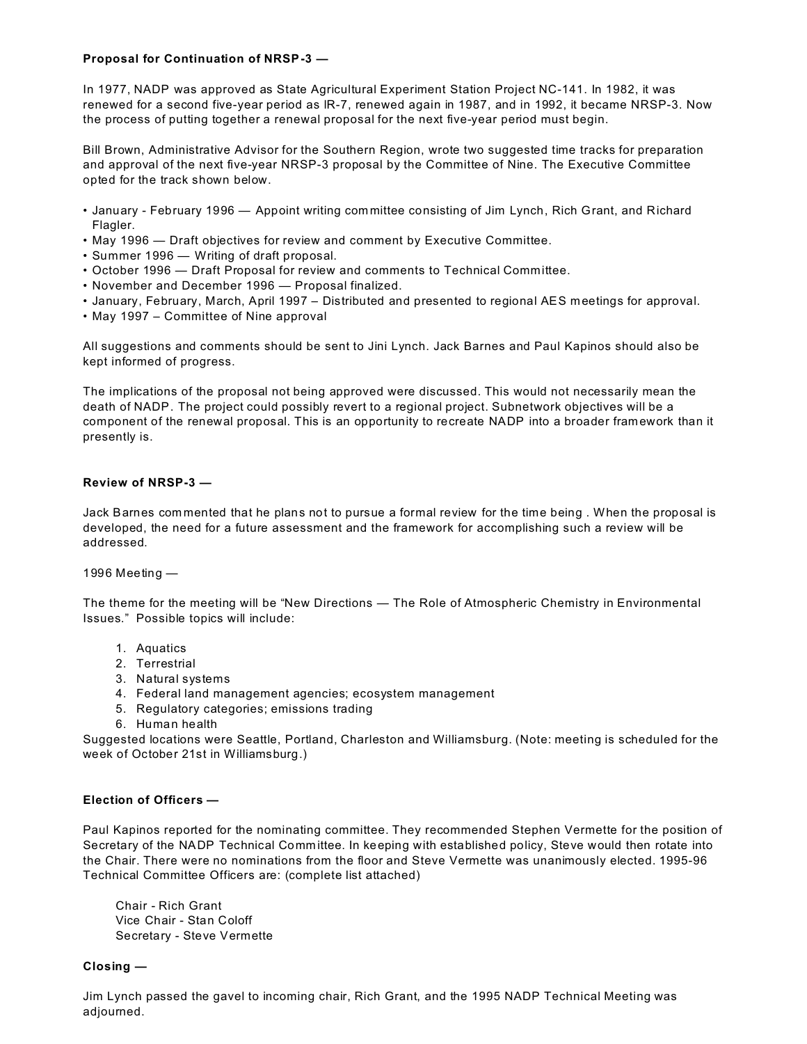# **Proposal for Continuation of NRSP-3 —**

In 1977, NADP was approved as State Agricultural Experiment Station Project NC-141. In 1982, it was renewed for a second five-year period as lR-7, renewed again in 1987, and in 1992, it became NRSP-3. Now the process of putting together a renewal proposal for the next five-year period must begin.

Bill Brown, Administrative Advisor for the Southern Region, wrote two suggested time tracks for preparation and approval of the next five-year NRSP-3 proposal by the Committee of Nine. The Executive Committee opted for the track shown below.

- January February 1996 Appoint writing com mittee consisting of Jim Lynch, Rich Grant, and Richard Flagler.
- May 1996 Draft objectives for review and comment by Executive Committee.
- Summer 1996 Writing of draft proposal.
- October 1996 Draft Proposal for review and comments to Technical Committee.
- November and December 1996 Proposal finalized.
- January, February, March, April 1997 Distributed and presented to regional AES meetings for approval.
- May 1997 Committee of Nine approval

All suggestions and comments should be sent to Jini Lynch. Jack Barnes and Paul Kapinos should also be kept informed of progress.

The implications of the proposal not being approved were discussed. This would not necessarily mean the death of NADP. The project could possibly revert to a regional project. Subnetwork objectives will be a component of the renewal proposal. This is an opportunity to recreate NADP into a broader framework than it presently is.

### **Review of NRSP-3 —**

Jack Barnes com mented that he plans not to pursue a formal review for the time being . When the proposal is developed, the need for a future assessment and the framework for accomplishing such a review will be addressed.

### 1996 Meeting —

The theme for the meeting will be "New Directions — The Role of Atmospheric Chemistry in Environmental Issues." Possible topics will include:

- 1. Aquatics
- 2. Terrestrial
- 3. Natural systems
- 4. Federal land management agencies; ecosystem management
- 5. Regulatory categories; emissions trading
- 6. Human health

Suggested locations were Seattle, Portland, Charleston and Williamsburg. (Note: meeting is scheduled for the week of October 21st in Williamsburg.)

### **Election of Officers —**

Paul Kapinos reported for the nominating committee. They recommended Stephen Vermette for the position of Secretary of the NADP Technical Comm ittee. In keeping with established policy, Steve would then rotate into the Chair. There were no nominations from the floor and Steve Vermette was unanimously elected. 1995-96 Technical Committee Officers are: (complete list attached)

Chair - Rich Grant Vice Chair - Stan Coloff Secretary - Steve Vermette

### **Closing —**

Jim Lynch passed the gavel to incoming chair, Rich Grant, and the 1995 NADP Technical Meeting was adjourned.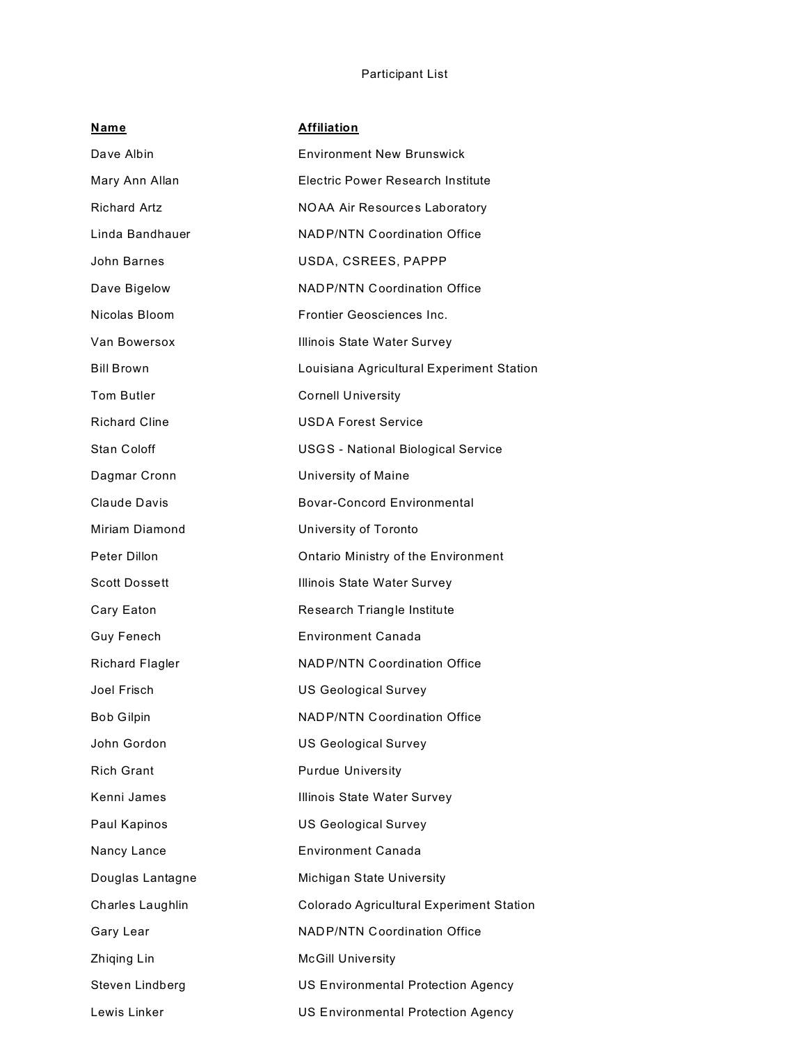# Participant List

| <b>Name</b>            | <b>Affiliation</b>                              |
|------------------------|-------------------------------------------------|
| Dave Albin             | <b>Environment New Brunswick</b>                |
| Mary Ann Allan         | Electric Power Research Institute               |
| <b>Richard Artz</b>    | NOAA Air Resources Laboratory                   |
| Linda Bandhauer        | <b>NADP/NTN Coordination Office</b>             |
| John Barnes            | USDA, CSREES, PAPPP                             |
| Dave Bigelow           | <b>NADP/NTN Coordination Office</b>             |
| Nicolas Bloom          | <b>Frontier Geosciences Inc.</b>                |
| Van Bowersox           | Illinois State Water Survey                     |
| <b>Bill Brown</b>      | Louisiana Agricultural Experiment Station       |
| <b>Tom Butler</b>      | <b>Cornell University</b>                       |
| <b>Richard Cline</b>   | <b>USDA Forest Service</b>                      |
| Stan Coloff            | <b>USGS - National Biological Service</b>       |
| Dagmar Cronn           | University of Maine                             |
| Claude Davis           | <b>Bovar-Concord Environmental</b>              |
| Miriam Diamond         | University of Toronto                           |
| Peter Dillon           | Ontario Ministry of the Environment             |
| <b>Scott Dossett</b>   | Illinois State Water Survey                     |
| Cary Eaton             | Research Triangle Institute                     |
| <b>Guy Fenech</b>      | Environment Canada                              |
| <b>Richard Flagler</b> | <b>NADP/NTN Coordination Office</b>             |
| Joel Frisch            | <b>US Geological Survey</b>                     |
| <b>Bob Gilpin</b>      | <b>NADP/NTN Coordination Office</b>             |
| John Gordon            | <b>US Geological Survey</b>                     |
| <b>Rich Grant</b>      | <b>Purdue University</b>                        |
| Kenni James            | Illinois State Water Survey                     |
| Paul Kapinos           | <b>US Geological Survey</b>                     |
| Nancy Lance            | <b>Environment Canada</b>                       |
| Douglas Lantagne       | Michigan State University                       |
| Charles Laughlin       | <b>Colorado Agricultural Experiment Station</b> |
| Gary Lear              | <b>NADP/NTN Coordination Office</b>             |
| Zhiqing Lin            | <b>McGill University</b>                        |
| Steven Lindberg        | <b>US Environmental Protection Agency</b>       |
| Lewis Linker           | US Environmental Protection Agency              |